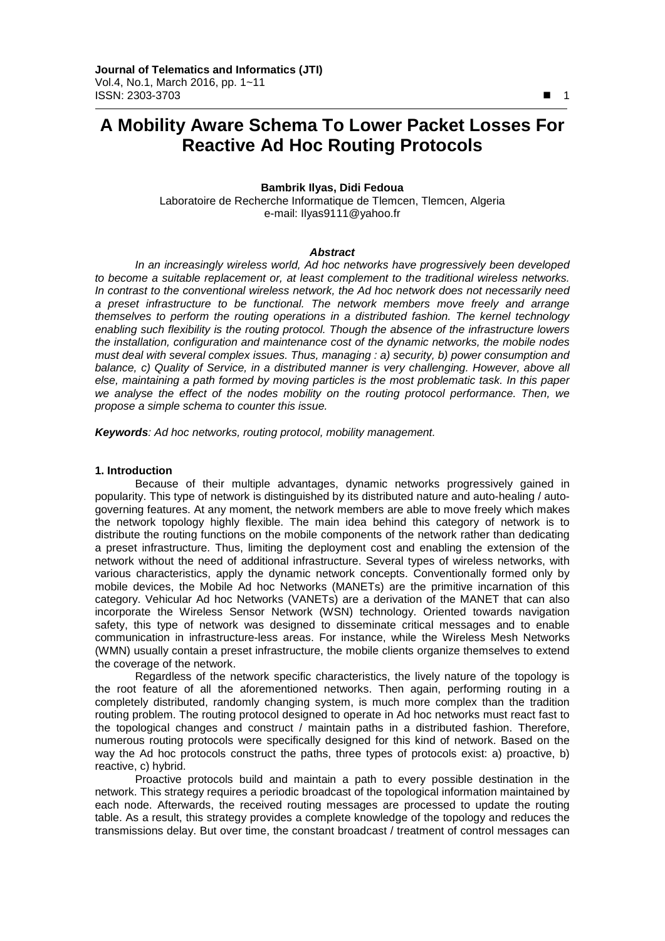# **A Mobility Aware Schema To Lower Packet Losses For Reactive Ad Hoc Routing Protocols**

# **Bambrik Ilyas, Didi Fedoua**

Laboratoire de Recherche Informatique de Tlemcen, Tlemcen, Algeria e-mail: Ilyas9111@yahoo.fr

#### *Abstract*

*In an increasingly wireless world, Ad hoc networks have progressively been developed to become a suitable replacement or, at least complement to the traditional wireless networks. In contrast to the conventional wireless network, the Ad hoc network does not necessarily need a preset infrastructure to be functional. The network members move freely and arrange themselves to perform the routing operations in a distributed fashion. The kernel technology enabling such flexibility is the routing protocol. Though the absence of the infrastructure lowers the installation, configuration and maintenance cost of the dynamic networks, the mobile nodes must deal with several complex issues. Thus, managing : a) security, b) power consumption and balance, c) Quality of Service, in a distributed manner is very challenging. However, above all else, maintaining a path formed by moving particles is the most problematic task. In this paper we analyse the effect of the nodes mobility on the routing protocol performance. Then, we propose a simple schema to counter this issue.*

*Keywords: Ad hoc networks, routing protocol, mobility management.*

#### **1. Introduction**

Because of their multiple advantages, dynamic networks progressively gained in popularity. This type of network is distinguished by its distributed nature and auto-healing / autogoverning features. At any moment, the network members are able to move freely which makes the network topology highly flexible. The main idea behind this category of network is to distribute the routing functions on the mobile components of the network rather than dedicating a preset infrastructure. Thus, limiting the deployment cost and enabling the extension of the network without the need of additional infrastructure. Several types of wireless networks, with various characteristics, apply the dynamic network concepts. Conventionally formed only by mobile devices, the Mobile Ad hoc Networks (MANETs) are the primitive incarnation of this category. Vehicular Ad hoc Networks (VANETs) are a derivation of the MANET that can also incorporate the Wireless Sensor Network (WSN) technology. Oriented towards navigation safety, this type of network was designed to disseminate critical messages and to enable communication in infrastructure-less areas. For instance, while the Wireless Mesh Networks (WMN) usually contain a preset infrastructure, the mobile clients organize themselves to extend the coverage of the network.

Regardless of the network specific characteristics, the lively nature of the topology is the root feature of all the aforementioned networks. Then again, performing routing in a completely distributed, randomly changing system, is much more complex than the tradition routing problem. The routing protocol designed to operate in Ad hoc networks must react fast to the topological changes and construct / maintain paths in a distributed fashion. Therefore, numerous routing protocols were specifically designed for this kind of network. Based on the way the Ad hoc protocols construct the paths, three types of protocols exist: a) proactive, b) reactive, c) hybrid.

Proactive protocols build and maintain a path to every possible destination in the network. This strategy requires a periodic broadcast of the topological information maintained by each node. Afterwards, the received routing messages are processed to update the routing table. As a result, this strategy provides a complete knowledge of the topology and reduces the transmissions delay. But over time, the constant broadcast / treatment of control messages can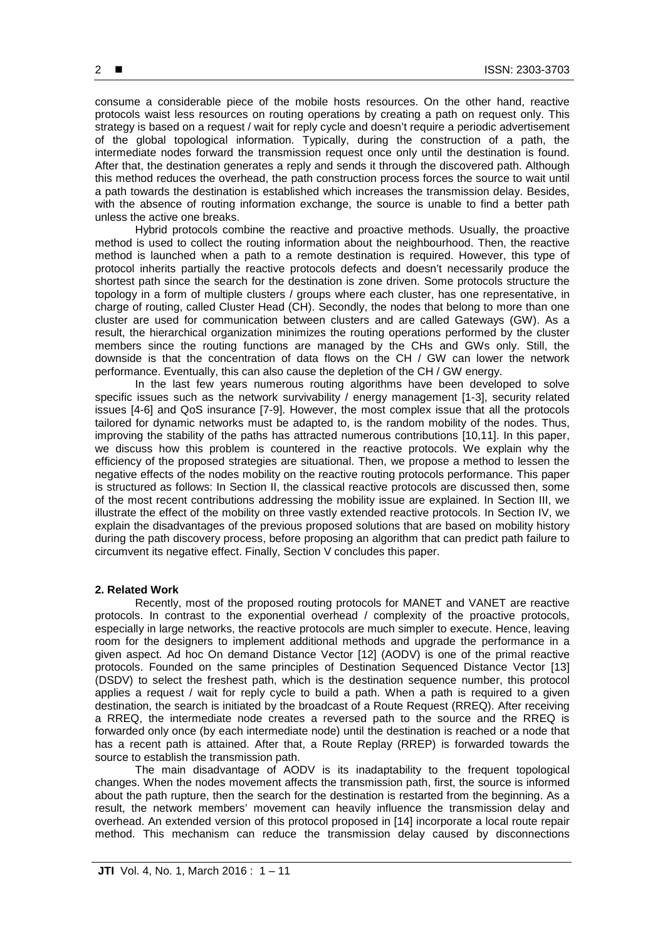consume a considerable piece of the mobile hosts resources. On the other hand, reactive protocols waist less resources on routing operations by creating a path on request only. This strategy is based on a request / wait for reply cycle and doesn't require a periodic advertisement of the global topological information. Typically, during the construction of a path, the intermediate nodes forward the transmission request once only until the destination is found. After that, the destination generates a reply and sends it through the discovered path. Although this method reduces the overhead, the path construction process forces the source to wait until a path towards the destination is established which increases the transmission delay. Besides, with the absence of routing information exchange, the source is unable to find a better path unless the active one breaks.

Hybrid protocols combine the reactive and proactive methods. Usually, the proactive method is used to collect the routing information about the neighbourhood. Then, the reactive method is launched when a path to a remote destination is required. However, this type of protocol inherits partially the reactive protocols defects and doesn't necessarily produce the shortest path since the search for the destination is zone driven. Some protocols structure the topology in a form of multiple clusters / groups where each cluster, has one representative, in charge of routing, called Cluster Head (CH). Secondly, the nodes that belong to more than one cluster are used for communication between clusters and are called Gateways (GW). As a result, the hierarchical organization minimizes the routing operations performed by the cluster members since the routing functions are managed by the CHs and GWs only. Still, the downside is that the concentration of data flows on the CH / GW can lower the network performance. Eventually, this can also cause the depletion of the CH / GW energy.

In the last few years numerous routing algorithms have been developed to solve specific issues such as the network survivability / energy management [1-3], security related issues [4-6] and QoS insurance [7-9]. However, the most complex issue that all the protocols tailored for dynamic networks must be adapted to, is the random mobility of the nodes. Thus, improving the stability of the paths has attracted numerous contributions [10,11]. In this paper, we discuss how this problem is countered in the reactive protocols. We explain why the efficiency of the proposed strategies are situational. Then, we propose a method to lessen the negative effects of the nodes mobility on the reactive routing protocols performance. This paper is structured as follows: In Section II, the classical reactive protocols are discussed then, some of the most recent contributions addressing the mobility issue are explained. In Section III, we illustrate the effect of the mobility on three vastly extended reactive protocols. In Section IV, we explain the disadvantages of the previous proposed solutions that are based on mobility history during the path discovery process, before proposing an algorithm that can predict path failure to circumvent its negative effect. Finally, Section V concludes this paper.

#### **2. Related Work**

Recently, most of the proposed routing protocols for MANET and VANET are reactive protocols. In contrast to the exponential overhead / complexity of the proactive protocols, especially in large networks, the reactive protocols are much simpler to execute. Hence, leaving room for the designers to implement additional methods and upgrade the performance in a given aspect. Ad hoc On demand Distance Vector [12] (AODV) is one of the primal reactive protocols. Founded on the same principles of Destination Sequenced Distance Vector [13] (DSDV) to select the freshest path, which is the destination sequence number, this protocol applies a request / wait for reply cycle to build a path. When a path is required to a given destination, the search is initiated by the broadcast of a Route Request (RREQ). After receiving a RREQ, the intermediate node creates a reversed path to the source and the RREQ is forwarded only once (by each intermediate node) until the destination is reached or a node that has a recent path is attained. After that, a Route Replay (RREP) is forwarded towards the source to establish the transmission path.

The main disadvantage of AODV is its inadaptability to the frequent topological changes. When the nodes movement affects the transmission path, first, the source is informed about the path rupture, then the search for the destination is restarted from the beginning. As a result, the network members' movement can heavily influence the transmission delay and overhead. An extended version of this protocol proposed in [14] incorporate a local route repair method. This mechanism can reduce the transmission delay caused by disconnections

 $2$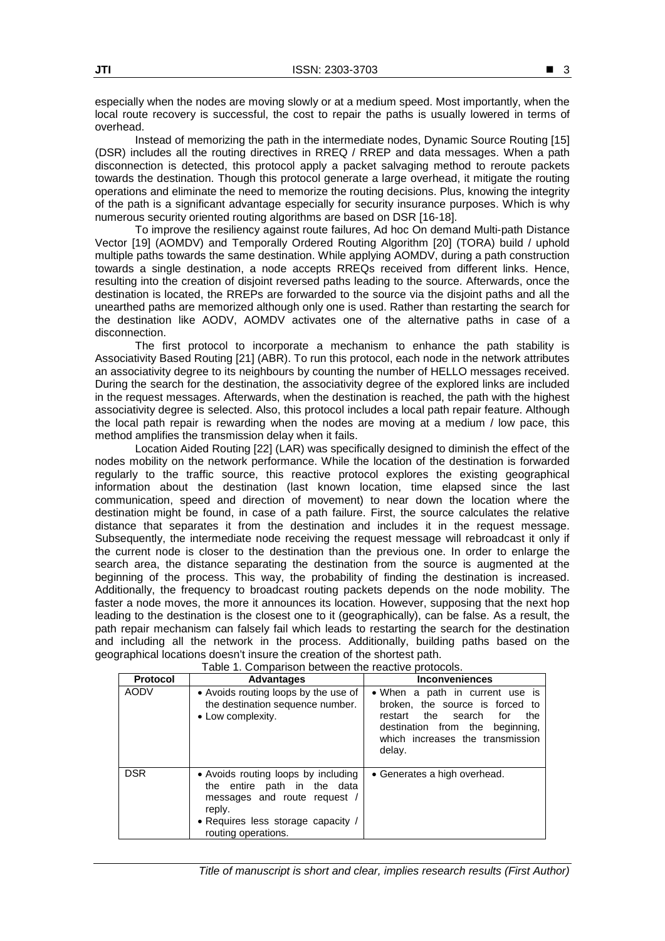especially when the nodes are moving slowly or at a medium speed. Most importantly, when the local route recovery is successful, the cost to repair the paths is usually lowered in terms of overhead.

Instead of memorizing the path in the intermediate nodes, Dynamic Source Routing [15] (DSR) includes all the routing directives in RREQ / RREP and data messages. When a path disconnection is detected, this protocol apply a packet salvaging method to reroute packets towards the destination. Though this protocol generate a large overhead, it mitigate the routing operations and eliminate the need to memorize the routing decisions. Plus, knowing the integrity of the path is a significant advantage especially for security insurance purposes. Which is why numerous security oriented routing algorithms are based on DSR [16-18].

To improve the resiliency against route failures, Ad hoc On demand Multi-path Distance Vector [19] (AOMDV) and Temporally Ordered Routing Algorithm [20] (TORA) build / uphold multiple paths towards the same destination. While applying AOMDV, during a path construction towards a single destination, a node accepts RREQs received from different links. Hence, resulting into the creation of disjoint reversed paths leading to the source. Afterwards, once the destination is located, the RREPs are forwarded to the source via the disjoint paths and all the unearthed paths are memorized although only one is used. Rather than restarting the search for the destination like AODV, AOMDV activates one of the alternative paths in case of a disconnection.

The first protocol to incorporate a mechanism to enhance the path stability is Associativity Based Routing [21] (ABR). To run this protocol, each node in the network attributes an associativity degree to its neighbours by counting the number of HELLO messages received. During the search for the destination, the associativity degree of the explored links are included in the request messages. Afterwards, when the destination is reached, the path with the highest associativity degree is selected. Also, this protocol includes a local path repair feature. Although the local path repair is rewarding when the nodes are moving at a medium / low pace, this method amplifies the transmission delay when it fails.

Location Aided Routing [22] (LAR) was specifically designed to diminish the effect of the nodes mobility on the network performance. While the location of the destination is forwarded regularly to the traffic source, this reactive protocol explores the existing geographical information about the destination (last known location, time elapsed since the last communication, speed and direction of movement) to near down the location where the destination might be found, in case of a path failure. First, the source calculates the relative distance that separates it from the destination and includes it in the request message. Subsequently, the intermediate node receiving the request message will rebroadcast it only if the current node is closer to the destination than the previous one. In order to enlarge the search area, the distance separating the destination from the source is augmented at the beginning of the process. This way, the probability of finding the destination is increased. Additionally, the frequency to broadcast routing packets depends on the node mobility. The faster a node moves, the more it announces its location. However, supposing that the next hop leading to the destination is the closest one to it (geographically), can be false. As a result, the path repair mechanism can falsely fail which leads to restarting the search for the destination and including all the network in the process. Additionally, building paths based on the geographical locations doesn't insure the creation of the shortest path.

| Protocol    | <b>Advantages</b>                                                                                                                                                         | <b>Inconveniences</b>                                                                                                                                                                            |
|-------------|---------------------------------------------------------------------------------------------------------------------------------------------------------------------------|--------------------------------------------------------------------------------------------------------------------------------------------------------------------------------------------------|
| <b>AODV</b> | • Avoids routing loops by the use of<br>the destination sequence number.<br>• Low complexity.                                                                             | • When a path in current use is<br>broken, the source is forced to<br>the<br>search<br>the<br>restart<br>for<br>destination from the<br>beginning,<br>which increases the transmission<br>delay. |
| <b>DSR</b>  | • Avoids routing loops by including<br>the entire path in the data<br>messages and route request /<br>reply.<br>• Requires less storage capacity /<br>routing operations. | • Generates a high overhead.                                                                                                                                                                     |

Table 1. Comparison between the reactive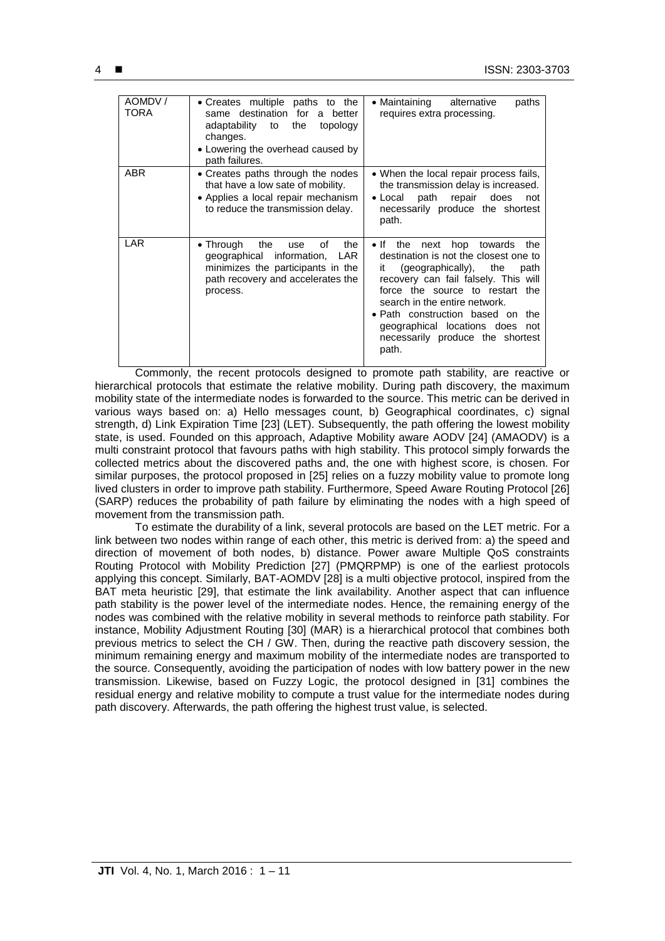| AOMDV/<br>TORA | • Creates multiple paths to the<br>same destination for a better<br>adaptability to the<br>topology<br>changes.<br>• Lowering the overhead caused by<br>path failures.  | alternative<br>$\bullet$ Maintaining<br>paths<br>requires extra processing.                                                                                                                                                                                                                                                                                  |
|----------------|-------------------------------------------------------------------------------------------------------------------------------------------------------------------------|--------------------------------------------------------------------------------------------------------------------------------------------------------------------------------------------------------------------------------------------------------------------------------------------------------------------------------------------------------------|
| ABR            | • Creates paths through the nodes<br>that have a low sate of mobility.<br>• Applies a local repair mechanism<br>to reduce the transmission delay.                       | • When the local repair process fails,<br>the transmission delay is increased.<br>• Local path repair does<br>not<br>necessarily produce the shortest<br>path.                                                                                                                                                                                               |
| LAR            | the<br>$\bullet$ Through<br>οf<br>the<br>use<br>geographical information,<br>LAR.<br>minimizes the participants in the<br>path recovery and accelerates the<br>process. | $\bullet$ If<br>the next hop towards<br>the<br>destination is not the closest one to<br>(geographically), the<br>it.<br>path<br>recovery can fail falsely. This will<br>force the source to restart the<br>search in the entire network.<br>• Path construction based on the<br>geographical locations does not<br>necessarily produce the shortest<br>path. |

Commonly, the recent protocols designed to promote path stability, are reactive or hierarchical protocols that estimate the relative mobility. During path discovery, the maximum mobility state of the intermediate nodes is forwarded to the source. This metric can be derived in various ways based on: a) Hello messages count, b) Geographical coordinates, c) signal strength, d) Link Expiration Time [23] (LET). Subsequently, the path offering the lowest mobility state, is used. Founded on this approach, Adaptive Mobility aware AODV [24] (AMAODV) is a multi constraint protocol that favours paths with high stability. This protocol simply forwards the collected metrics about the discovered paths and, the one with highest score, is chosen. For similar purposes, the protocol proposed in [25] relies on a fuzzy mobility value to promote long lived clusters in order to improve path stability. Furthermore, Speed Aware Routing Protocol [26] (SARP) reduces the probability of path failure by eliminating the nodes with a high speed of movement from the transmission path.

To estimate the durability of a link, several protocols are based on the LET metric. For a link between two nodes within range of each other, this metric is derived from: a) the speed and direction of movement of both nodes, b) distance. Power aware Multiple QoS constraints Routing Protocol with Mobility Prediction [27] (PMQRPMP) is one of the earliest protocols applying this concept. Similarly, BAT-AOMDV [28] is a multi objective protocol, inspired from the BAT meta heuristic [29], that estimate the link availability. Another aspect that can influence path stability is the power level of the intermediate nodes. Hence, the remaining energy of the nodes was combined with the relative mobility in several methods to reinforce path stability. For instance, Mobility Adjustment Routing [30] (MAR) is a hierarchical protocol that combines both previous metrics to select the CH / GW. Then, during the reactive path discovery session, the minimum remaining energy and maximum mobility of the intermediate nodes are transported to the source. Consequently, avoiding the participation of nodes with low battery power in the new transmission. Likewise, based on Fuzzy Logic, the protocol designed in [31] combines the residual energy and relative mobility to compute a trust value for the intermediate nodes during path discovery. Afterwards, the path offering the highest trust value, is selected.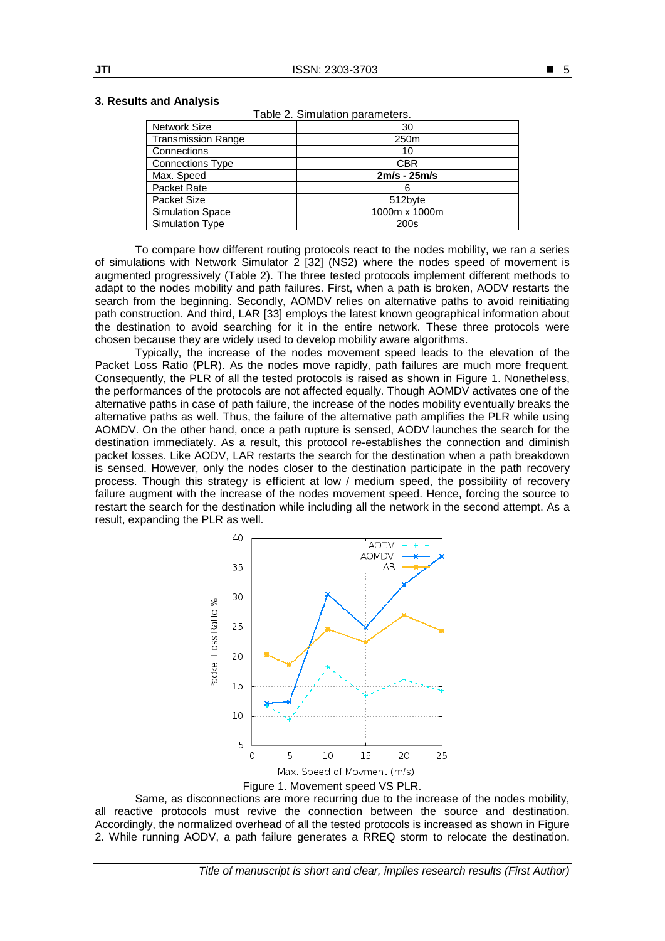ble 2. Simulation parameters.

# **3. Results and Analysis**

| rable 2. Simulation parameters. |                  |  |  |  |  |
|---------------------------------|------------------|--|--|--|--|
| <b>Network Size</b>             | 30               |  |  |  |  |
| <b>Transmission Range</b>       | 250 <sub>m</sub> |  |  |  |  |
| Connections                     | 10               |  |  |  |  |
| <b>Connections Type</b>         | <b>CBR</b>       |  |  |  |  |
| Max. Speed                      | $2m/s - 25m/s$   |  |  |  |  |
| Packet Rate                     | 6                |  |  |  |  |
| Packet Size                     | 512byte          |  |  |  |  |
| <b>Simulation Space</b>         | 1000m x 1000m    |  |  |  |  |
| Simulation Type                 | 200s             |  |  |  |  |

To compare how different routing protocols react to the nodes mobility, we ran a series of simulations with Network Simulator 2 [32] (NS2) where the nodes speed of movement is augmented progressively (Table 2). The three tested protocols implement different methods to adapt to the nodes mobility and path failures. First, when a path is broken, AODV restarts the search from the beginning. Secondly, AOMDV relies on alternative paths to avoid reinitiating path construction. And third, LAR [33] employs the latest known geographical information about the destination to avoid searching for it in the entire network. These three protocols were chosen because they are widely used to develop mobility aware algorithms.

Typically, the increase of the nodes movement speed leads to the elevation of the Packet Loss Ratio (PLR). As the nodes move rapidly, path failures are much more frequent. Consequently, the PLR of all the tested protocols is raised as shown in Figure 1. Nonetheless, the performances of the protocols are not affected equally. Though AOMDV activates one of the alternative paths in case of path failure, the increase of the nodes mobility eventually breaks the alternative paths as well. Thus, the failure of the alternative path amplifies the PLR while using AOMDV. On the other hand, once a path rupture is sensed, AODV launches the search for the destination immediately. As a result, this protocol re-establishes the connection and diminish packet losses. Like AODV, LAR restarts the search for the destination when a path breakdown is sensed. However, only the nodes closer to the destination participate in the path recovery process. Though this strategy is efficient at low / medium speed, the possibility of recovery failure augment with the increase of the nodes movement speed. Hence, forcing the source to restart the search for the destination while including all the network in the second attempt. As a result, expanding the PLR as well.



Same, as disconnections are more recurring due to the increase of the nodes mobility, all reactive protocols must revive the connection between the source and destination. Accordingly, the normalized overhead of all the tested protocols is increased as shown in Figure 2. While running AODV, a path failure generates a RREQ storm to relocate the destination.

■ 5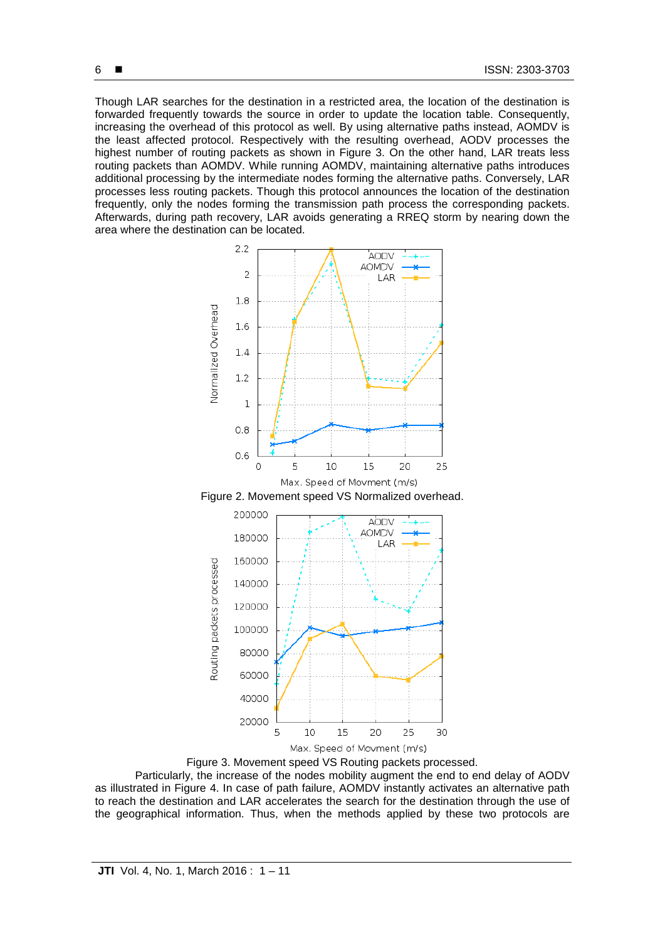Though LAR searches for the destination in a restricted area, the location of the destination is forwarded frequently towards the source in order to update the location table. Consequently, increasing the overhead of this protocol as well. By using alternative paths instead, AOMDV is the least affected protocol. Respectively with the resulting overhead, AODV processes the highest number of routing packets as shown in Figure 3. On the other hand, LAR treats less routing packets than AOMDV. While running AOMDV, maintaining alternative paths introduces additional processing by the intermediate nodes forming the alternative paths. Conversely, LAR processes less routing packets. Though this protocol announces the location of the destination frequently, only the nodes forming the transmission path process the corresponding packets. Afterwards, during path recovery, LAR avoids generating a RREQ storm by nearing down the area where the destination can be located.



Figure 3. Movement speed VS Routing packets processed. Particularly, the increase of the nodes mobility augment the end to end delay of AODV as illustrated in Figure 4. In case of path failure, AOMDV instantly activates an alternative path to reach the destination and LAR accelerates the search for the destination through the use of the geographical information. Thus, when the methods applied by these two protocols are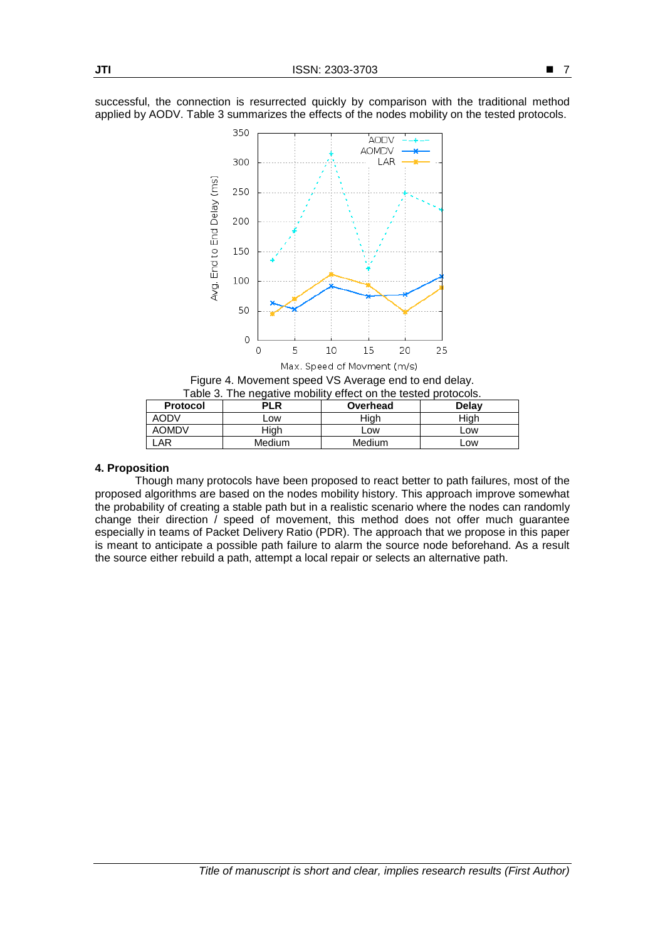successful, the connection is resurrected quickly by comparison with the traditional method applied by AODV. Table 3 summarizes the effects of the nodes mobility on the tested protocols.



Figure 4. Movement speed VS Average end to end delay. Table 3. The negative mobility effect on the tested protocols.

| <b>Protocol</b> | <b>PLR</b> | Overhead | <b>Delay</b> |
|-----------------|------------|----------|--------------|
| AODV            | _OW        | Hiah     | Hiah         |
| <b>AOMDV</b>    | Hiah       | LOW.     | <b>LOW</b>   |
| AR              | Medium     | Medium   | ∟ow          |

#### **4. Proposition**

Though many protocols have been proposed to react better to path failures, most of the proposed algorithms are based on the nodes mobility history. This approach improve somewhat the probability of creating a stable path but in a realistic scenario where the nodes can randomly change their direction  $\tilde{I}$  speed of movement, this method does not offer much guarantee especially in teams of Packet Delivery Ratio (PDR). The approach that we propose in this paper is meant to anticipate a possible path failure to alarm the source node beforehand. As a result the source either rebuild a path, attempt a local repair or selects an alternative path.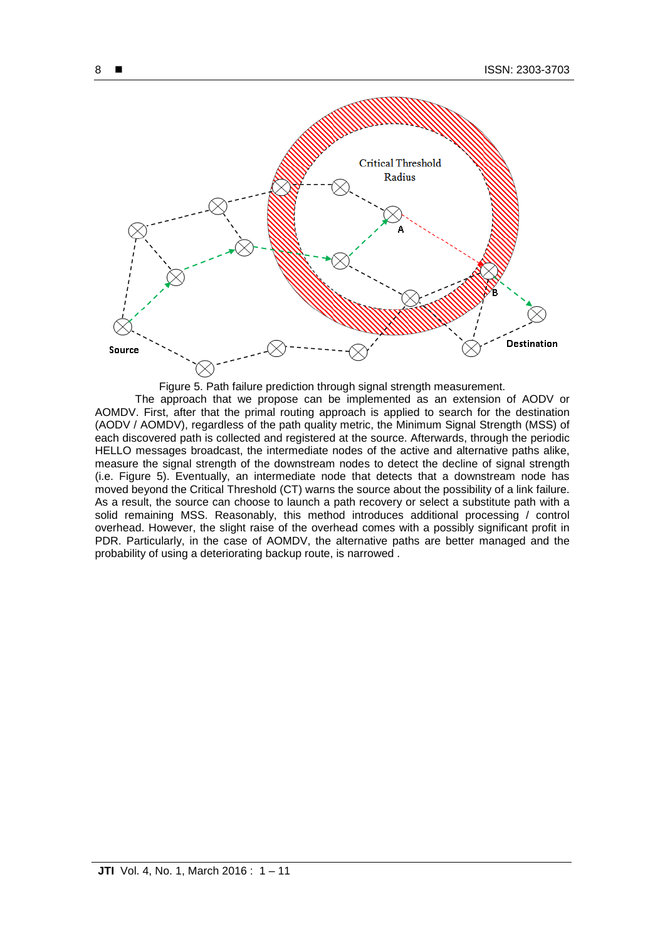

Figure 5. Path failure prediction through signal strength measurement.

The approach that we propose can be implemented as an extension of AODV or AOMDV. First, after that the primal routing approach is applied to search for the destination (AODV / AOMDV), regardless of the path quality metric, the Minimum Signal Strength (MSS) of each discovered path is collected and registered at the source. Afterwards, through the periodic HELLO messages broadcast, the intermediate nodes of the active and alternative paths alike, measure the signal strength of the downstream nodes to detect the decline of signal strength (i.e. Figure 5). Eventually, an intermediate node that detects that a downstream node has moved beyond the Critical Threshold (CT) warns the source about the possibility of a link failure. As a result, the source can choose to launch a path recovery or select a substitute path with a solid remaining MSS. Reasonably, this method introduces additional processing / control overhead. However, the slight raise of the overhead comes with a possibly significant profit in PDR. Particularly, in the case of AOMDV, the alternative paths are better managed and the probability of using a deteriorating backup route, is narrowed .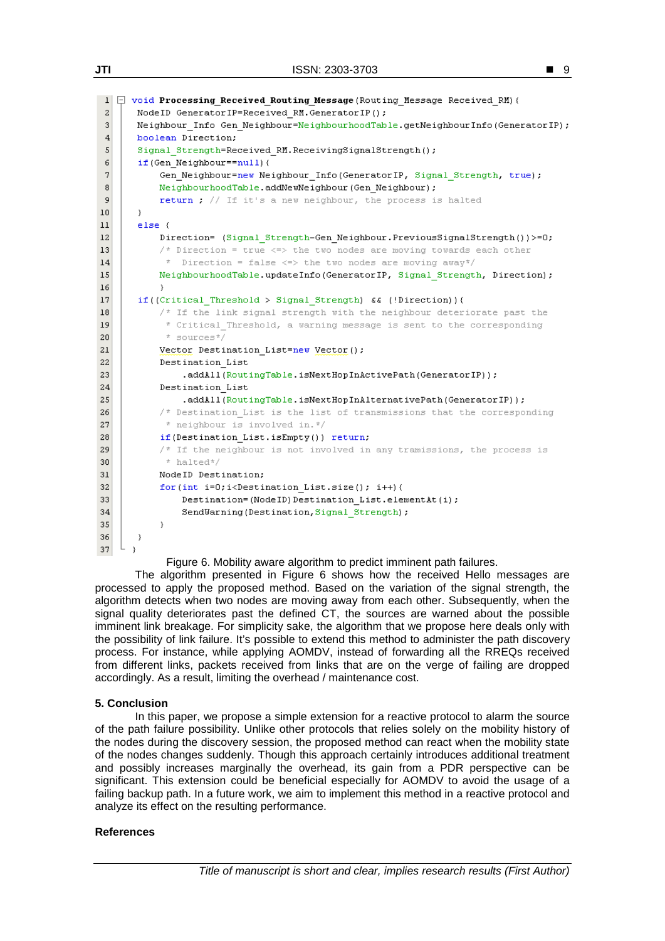```
■ 9
```

```
1 \Box void Processing Received Routing Message (Routing Message Received RM) {
 \overline{\mathbf{c}}NodeID GeneratorIP=Received RM.GeneratorIP();
 3
       Neighbour Info Gen Neighbour=NeighbourhoodTable.getNeighbourInfo(GeneratorIP);
 \overline{4}boolean Direction;
 \overline{5}Signal Strength=Received RM. ReceivingSignalStrength();
 6
       if (Gen Neighbour==null) {
 \overline{\mathbf{z}}Gen Neighbour=new Neighbour Info (GeneratorIP, Signal Strength, true);
 ^{\rm 8}NeighbourhoodTable.addNewNeighbour(Gen Neighbour);
            return ; // If it's a new neighbour, the process is halted
 \overline{9}10\rightarrow11else12Direction= (Signal Strength-Gen Neighbour.PreviousSignalStrength())>=0;
            /* Direction = true \le the two nodes are moving towards each other
13* Direction = false <=> the two nodes are moving away*/
14NeighbourhoodTable.updateInfo(GeneratorIP, Signal Strength, Direction);
1.51617if((\text{Critical\_Threshold} > \text{Signal\_Strongth}) \& (!Direction)) (
            /* If the link signal strength with the neighbour deteriorate past the
18
             * Critical Threshold, a warning message is sent to the corresponding
19* sources */20
            Vector Destination List=new Vector();
21
22Destination List
23
                .addAll(RoutingTable.isNextHopInActivePath(GeneratorIP));
24
            Destination List
                .addAll(RoutingTable.isNextHopInAlternativePath(GeneratorIP));
25
            /* Destination List is the list of transmissions that the corresponding
26
             * neighbour is involved in.*/
27
            if (Destination List. isEmpty()) return;
28
            \frac{1}{x} If the neighbour is not involved in any tramissions, the process is
29
             * halted */30
           NodeID Destination;
31for (int i=0;i<Destination List.size(); i++){
32
                Destination=(NodeID)Destination List.elementAt(i);
33
34
                SendWarning(Destination, Signal Strength);
35
            \mathcal{Y}36
       \rightarrow37
```
Figure 6. Mobility aware algorithm to predict imminent path failures.

The algorithm presented in Figure 6 shows how the received Hello messages are processed to apply the proposed method. Based on the variation of the signal strength, the algorithm detects when two nodes are moving away from each other. Subsequently, when the signal quality deteriorates past the defined CT, the sources are warned about the possible imminent link breakage. For simplicity sake, the algorithm that we propose here deals only with the possibility of link failure. It's possible to extend this method to administer the path discovery process. For instance, while applying AOMDV, instead of forwarding all the RREQs received from different links, packets received from links that are on the verge of failing are dropped accordingly. As a result, limiting the overhead / maintenance cost.

# **5. Conclusion**

In this paper, we propose a simple extension for a reactive protocol to alarm the source of the path failure possibility. Unlike other protocols that relies solely on the mobility history of the nodes during the discovery session, the proposed method can react when the mobility state of the nodes changes suddenly. Though this approach certainly introduces additional treatment and possibly increases marginally the overhead, its gain from a PDR perspective can be significant. This extension could be beneficial especially for AOMDV to avoid the usage of a failing backup path. In a future work, we aim to implement this method in a reactive protocol and analyze its effect on the resulting performance.

### **References**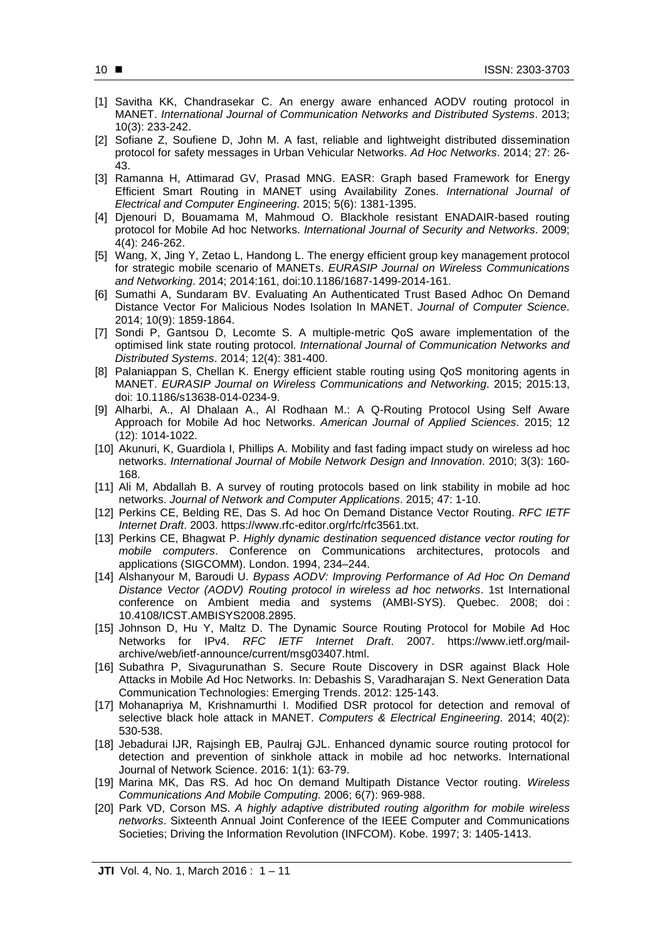- [1] Savitha KK, Chandrasekar C. An energy aware enhanced AODV routing protocol in MANET. *International Journal of Communication Networks and Distributed Systems*. 2013; 10(3): 233-242.
- [2] Sofiane Z, Soufiene D, John M. A fast, reliable and lightweight distributed dissemination protocol for safety messages in Urban Vehicular Networks. *Ad Hoc Networks*. 2014; 27: 26- 43.
- [3] Ramanna H, Attimarad GV, Prasad MNG. EASR: Graph based Framework for Energy Efficient Smart Routing in MANET using Availability Zones. *International Journal of Electrical and Computer Engineering*. 2015; 5(6): 1381-1395.
- [4] Djenouri D, Bouamama M, Mahmoud O. Blackhole resistant ENADAIR-based routing protocol for Mobile Ad hoc Networks. *International Journal of Security and Networks*. 2009; 4(4): 246-262.
- [5] Wang, X, Jing Y, Zetao L, Handong L. The energy efficient group key management protocol for strategic mobile scenario of MANETs. *EURASIP Journal on Wireless Communications and Networking*. 2014; 2014:161, doi:10.1186/1687-1499-2014-161.
- [6] Sumathi A, Sundaram BV. Evaluating An Authenticated Trust Based Adhoc On Demand Distance Vector For Malicious Nodes Isolation In MANET. *Journal of Computer Science*. 2014; 10(9): 1859-1864.
- [7] Sondi P, Gantsou D, Lecomte S. A multiple-metric QoS aware implementation of the optimised link state routing protocol. *International Journal of Communication Networks and Distributed Systems*. 2014; 12(4): 381-400.
- [8] Palaniappan S, Chellan K. Energy efficient stable routing using QoS monitoring agents in MANET. *EURASIP Journal on Wireless Communications and Networking*. 2015; 2015:13, doi: 10.1186/s13638-014-0234-9.
- [9] Alharbi, A., Al Dhalaan A., Al Rodhaan M.: A Q-Routing Protocol Using Self Aware Approach for Mobile Ad hoc Networks. *American Journal of Applied Sciences*. 2015; 12 (12): 1014-1022.
- [10] Akunuri, K, Guardiola I, Phillips A. Mobility and fast fading impact study on wireless ad hoc networks. *International Journal of Mobile Network Design and Innovation*. 2010; 3(3): 160- 168.
- [11] Ali M, Abdallah B. A survey of routing protocols based on link stability in mobile ad hoc networks. *Journal of Network and Computer Applications*. 2015; 47: 1-10.
- [12] Perkins CE, Belding RE, Das S. Ad hoc On Demand Distance Vector Routing. *RFC IETF Internet Draft*. 2003. https://www.rfc-editor.org/rfc/rfc3561.txt.
- [13] Perkins CE, Bhagwat P. *Highly dynamic destination sequenced distance vector routing for mobile computers*. Conference on Communications architectures, protocols and applications (SIGCOMM). London. 1994, 234–244.
- [14] Alshanyour M, Baroudi U. *Bypass AODV: Improving Performance of Ad Hoc On Demand Distance Vector (AODV) Routing protocol in wireless ad hoc networks*. 1st International conference on Ambient media and systems (AMBI-SYS). Quebec. 2008; doi : 10.4108/ICST.AMBISYS2008.2895.
- [15] Johnson D, Hu Y, Maltz D. The Dynamic Source Routing Protocol for Mobile Ad Hoc Networks for IPv4. *RFC IETF Internet Draft*. 2007. https://www.ietf.org/mailarchive/web/ietf-announce/current/msg03407.html.
- [16] Subathra P, Sivagurunathan S. Secure Route Discovery in DSR against Black Hole Attacks in Mobile Ad Hoc Networks. In: Debashis S, Varadharajan S. Next Generation Data Communication Technologies: Emerging Trends. 2012: 125-143.
- [17] Mohanapriya M, Krishnamurthi I. Modified DSR protocol for detection and removal of selective black hole attack in MANET. *Computers & Electrical Engineering*. 2014; 40(2): 530-538.
- [18] Jebadurai IJR, Rajsingh EB, Paulraj GJL. Enhanced dynamic source routing protocol for detection and prevention of sinkhole attack in mobile ad hoc networks. International Journal of Network Science. 2016: 1(1): 63-79.
- [19] Marina MK, Das RS. Ad hoc On demand Multipath Distance Vector routing. *Wireless Communications And Mobile Computing*. 2006; 6(7): 969-988.
- [20] Park VD, Corson MS. *A highly adaptive distributed routing algorithm for mobile wireless networks*. Sixteenth Annual Joint Conference of the IEEE Computer and Communications Societies; Driving the Information Revolution (INFCOM). Kobe. 1997; 3: 1405-1413.